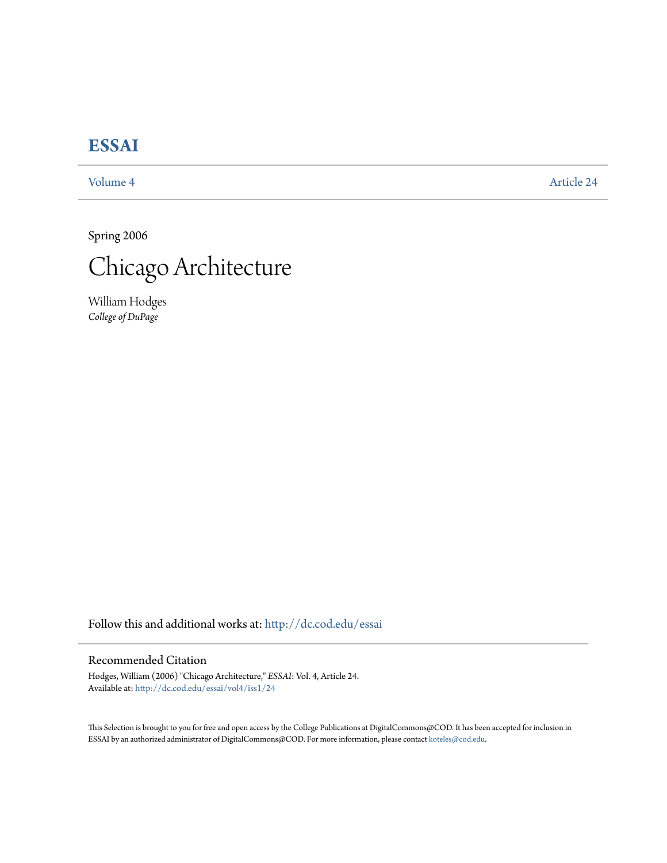## **[ESSAI](http://dc.cod.edu/essai?utm_source=dc.cod.edu%2Fessai%2Fvol4%2Fiss1%2F24&utm_medium=PDF&utm_campaign=PDFCoverPages)**

[Volume 4](http://dc.cod.edu/essai/vol4?utm_source=dc.cod.edu%2Fessai%2Fvol4%2Fiss1%2F24&utm_medium=PDF&utm_campaign=PDFCoverPages) [Article 24](http://dc.cod.edu/essai/vol4/iss1/24?utm_source=dc.cod.edu%2Fessai%2Fvol4%2Fiss1%2F24&utm_medium=PDF&utm_campaign=PDFCoverPages)

Spring 2006



William Hodges *College of DuPage*

Follow this and additional works at: [http://dc.cod.edu/essai](http://dc.cod.edu/essai?utm_source=dc.cod.edu%2Fessai%2Fvol4%2Fiss1%2F24&utm_medium=PDF&utm_campaign=PDFCoverPages)

## Recommended Citation

Hodges, William (2006) "Chicago Architecture," *ESSAI*: Vol. 4, Article 24. Available at: [http://dc.cod.edu/essai/vol4/iss1/24](http://dc.cod.edu/essai/vol4/iss1/24?utm_source=dc.cod.edu%2Fessai%2Fvol4%2Fiss1%2F24&utm_medium=PDF&utm_campaign=PDFCoverPages)

This Selection is brought to you for free and open access by the College Publications at DigitalCommons@COD. It has been accepted for inclusion in ESSAI by an authorized administrator of DigitalCommons@COD. For more information, please contact [koteles@cod.edu](mailto:koteles@cod.edu).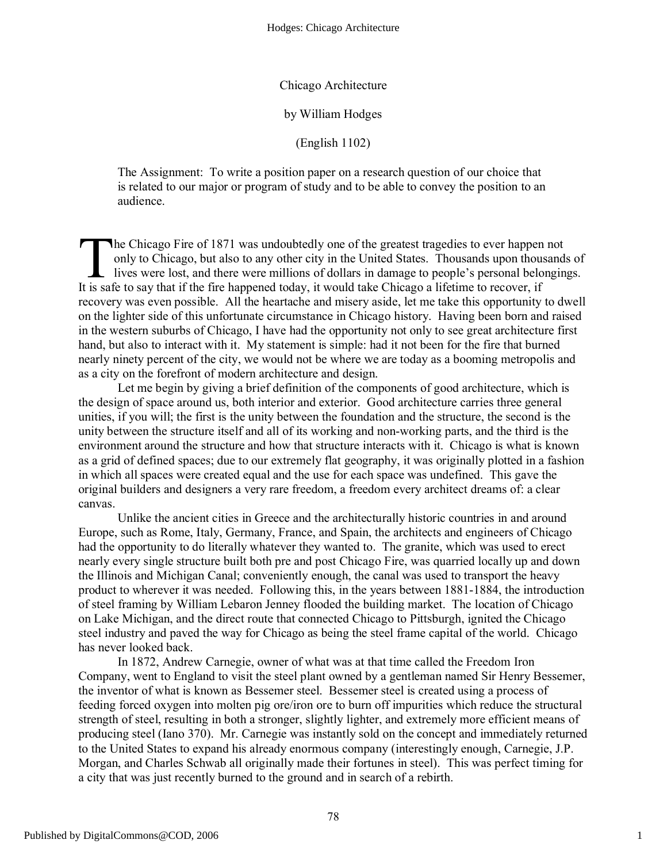Chicago Architecture

by William Hodges

(English 1102)

The Assignment: To write a position paper on a research question of our choice that is related to our major or program of study and to be able to convey the position to an audience.

**The Chicago Fire of 1871 was undoubtedly one of the greatest tragedies to ever happen not** only to Chicago, but also to any other city in the United States. Thousands upon thousands of lives were lost, and there were millions of dollars in damage to people's personal belongings. It is safe to say that if the fire happened today, it would take Chicago a lifetime to recover, if the fire happened today, it would take Chicago a lifetime to recover, if recovery was even possible. All the heartache and misery aside, let me take this opportunity to dwell on the lighter side of this unfortunate circumstance in Chicago history. Having been born and raised in the western suburbs of Chicago, I have had the opportunity not only to see great architecture first hand, but also to interact with it. My statement is simple: had it not been for the fire that burned nearly ninety percent of the city, we would not be where we are today as a booming metropolis and as a city on the forefront of modern architecture and design.

Let me begin by giving a brief definition of the components of good architecture, which is the design of space around us, both interior and exterior. Good architecture carries three general unities, if you will; the first is the unity between the foundation and the structure, the second is the unity between the structure itself and all of its working and non-working parts, and the third is the environment around the structure and how that structure interacts with it. Chicago is what is known as a grid of defined spaces; due to our extremely flat geography, it was originally plotted in a fashion in which all spaces were created equal and the use for each space was undefined. This gave the original builders and designers a very rare freedom, a freedom every architect dreams of: a clear canvas.

Unlike the ancient cities in Greece and the architecturally historic countries in and around Europe, such as Rome, Italy, Germany, France, and Spain, the architects and engineers of Chicago had the opportunity to do literally whatever they wanted to. The granite, which was used to erect nearly every single structure built both pre and post Chicago Fire, was quarried locally up and down the Illinois and Michigan Canal; conveniently enough, the canal was used to transport the heavy product to wherever it was needed. Following this, in the years between 1881-1884, the introduction of steel framing by William Lebaron Jenney flooded the building market. The location of Chicago on Lake Michigan, and the direct route that connected Chicago to Pittsburgh, ignited the Chicago steel industry and paved the way for Chicago as being the steel frame capital of the world. Chicago has never looked back.

In 1872, Andrew Carnegie, owner of what was at that time called the Freedom Iron Company, went to England to visit the steel plant owned by a gentleman named Sir Henry Bessemer, the inventor of what is known as Bessemer steel. Bessemer steel is created using a process of feeding forced oxygen into molten pig ore/iron ore to burn off impurities which reduce the structural strength of steel, resulting in both a stronger, slightly lighter, and extremely more efficient means of producing steel (Iano 370). Mr. Carnegie was instantly sold on the concept and immediately returned to the United States to expand his already enormous company (interestingly enough, Carnegie, J.P. Morgan, and Charles Schwab all originally made their fortunes in steel). This was perfect timing for a city that was just recently burned to the ground and in search of a rebirth.

1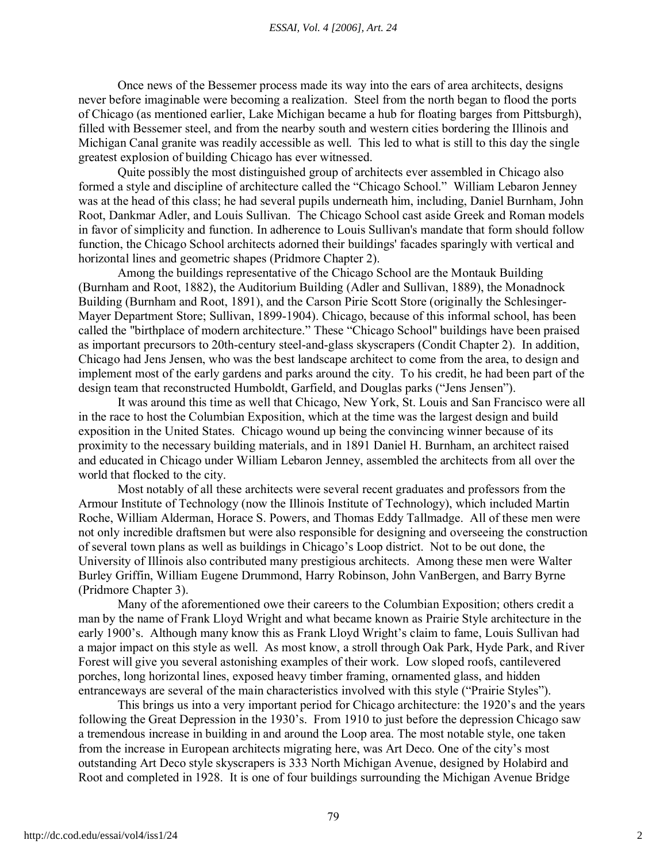## *ESSAI, Vol. 4 [2006], Art. 24*

Once news of the Bessemer process made its way into the ears of area architects, designs never before imaginable were becoming a realization. Steel from the north began to flood the ports of Chicago (as mentioned earlier, Lake Michigan became a hub for floating barges from Pittsburgh), filled with Bessemer steel, and from the nearby south and western cities bordering the Illinois and Michigan Canal granite was readily accessible as well. This led to what is still to this day the single greatest explosion of building Chicago has ever witnessed.

Quite possibly the most distinguished group of architects ever assembled in Chicago also formed a style and discipline of architecture called the "Chicago School." William Lebaron Jenney was at the head of this class; he had several pupils underneath him, including, Daniel Burnham, John Root, Dankmar Adler, and Louis Sullivan. The Chicago School cast aside Greek and Roman models in favor of simplicity and function. In adherence to Louis Sullivan's mandate that form should follow function, the Chicago School architects adorned their buildings' facades sparingly with vertical and horizontal lines and geometric shapes (Pridmore Chapter 2).

Among the buildings representative of the Chicago School are the Montauk Building (Burnham and Root, 1882), the Auditorium Building (Adler and Sullivan, 1889), the Monadnock Building (Burnham and Root, 1891), and the Carson Pirie Scott Store (originally the Schlesinger-Mayer Department Store; Sullivan, 1899-1904). Chicago, because of this informal school, has been called the "birthplace of modern architecture." These "Chicago School" buildings have been praised as important precursors to 20th-century steel-and-glass skyscrapers (Condit Chapter 2). In addition, Chicago had Jens Jensen, who was the best landscape architect to come from the area, to design and implement most of the early gardens and parks around the city. To his credit, he had been part of the design team that reconstructed Humboldt, Garfield, and Douglas parks ("Jens Jensen").

It was around this time as well that Chicago, New York, St. Louis and San Francisco were all in the race to host the Columbian Exposition, which at the time was the largest design and build exposition in the United States. Chicago wound up being the convincing winner because of its proximity to the necessary building materials, and in 1891 Daniel H. Burnham, an architect raised and educated in Chicago under William Lebaron Jenney, assembled the architects from all over the world that flocked to the city.

Most notably of all these architects were several recent graduates and professors from the Armour Institute of Technology (now the Illinois Institute of Technology), which included Martin Roche, William Alderman, Horace S. Powers, and Thomas Eddy Tallmadge. All of these men were not only incredible draftsmen but were also responsible for designing and overseeing the construction of several town plans as well as buildings in Chicago's Loop district. Not to be out done, the University of Illinois also contributed many prestigious architects. Among these men were Walter Burley Griffin, William Eugene Drummond, Harry Robinson, John VanBergen, and Barry Byrne (Pridmore Chapter 3).

Many of the aforementioned owe their careers to the Columbian Exposition; others credit a man by the name of Frank Lloyd Wright and what became known as Prairie Style architecture in the early 1900's. Although many know this as Frank Lloyd Wright's claim to fame, Louis Sullivan had a major impact on this style as well. As most know, a stroll through Oak Park, Hyde Park, and River Forest will give you several astonishing examples of their work. Low sloped roofs, cantilevered porches, long horizontal lines, exposed heavy timber framing, ornamented glass, and hidden entranceways are several of the main characteristics involved with this style ("Prairie Styles").

This brings us into a very important period for Chicago architecture: the 1920's and the years following the Great Depression in the 1930's. From 1910 to just before the depression Chicago saw a tremendous increase in building in and around the Loop area. The most notable style, one taken from the increase in European architects migrating here, was Art Deco. One of the city's most outstanding Art Deco style skyscrapers is 333 North Michigan Avenue, designed by Holabird and Root and completed in 1928. It is one of four buildings surrounding the Michigan Avenue Bridge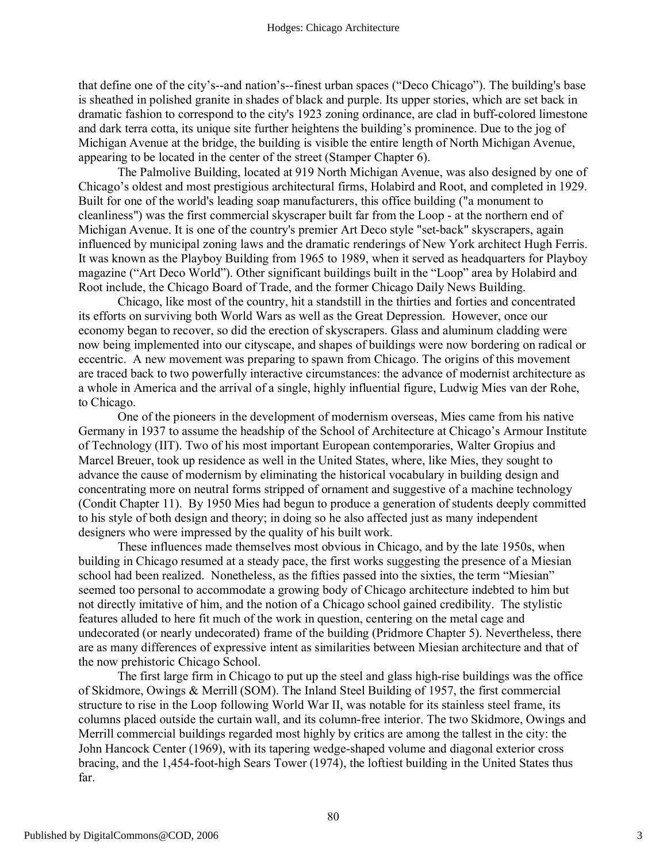that define one of the city's--and nation's--finest urban spaces ("Deco Chicago"). The building's base is sheathed in polished granite in shades of black and purple. Its upper stories, which are set back in dramatic fashion to correspond to the city's 1923 zoning ordinance, are clad in buff-colored limestone and dark terra cotta, its unique site further heightens the building's prominence. Due to the jog of Michigan Avenue at the bridge, the building is visible the entire length of North Michigan Avenue, appearing to be located in the center of the street (Stamper Chapter 6).

The Palmolive Building, located at 919 North Michigan Avenue, was also designed by one of Chicago's oldest and most prestigious architectural firms, Holabird and Root, and completed in 1929. Built for one of the world's leading soap manufacturers, this office building ("a monument to cleanliness") was the first commercial skyscraper built far from the Loop - at the northern end of Michigan Avenue. It is one of the country's premier Art Deco style "set-back" skyscrapers, again influenced by municipal zoning laws and the dramatic renderings of New York architect Hugh Ferris. It was known as the Playboy Building from 1965 to 1989, when it served as headquarters for Playboy magazine ("Art Deco World"). Other significant buildings built in the "Loop" area by Holabird and Root include, the Chicago Board of Trade, and the former Chicago Daily News Building.

Chicago, like most of the country, hit a standstill in the thirties and forties and concentrated its efforts on surviving both World Wars as well as the Great Depression. However, once our economy began to recover, so did the erection of skyscrapers. Glass and aluminum cladding were now being implemented into our cityscape, and shapes of buildings were now bordering on radical or eccentric. A new movement was preparing to spawn from Chicago. The origins of this movement are traced back to two powerfully interactive circumstances: the advance of modernist architecture as a whole in America and the arrival of a single, highly influential figure, Ludwig Mies van der Rohe, to Chicago.

One of the pioneers in the development of modernism overseas, Mies came from his native Germany in 1937 to assume the headship of the School of Architecture at Chicago's Armour Institute of Technology (IIT). Two of his most important European contemporaries, Walter Gropius and Marcel Breuer, took up residence as well in the United States, where, like Mies, they sought to advance the cause of modernism by eliminating the historical vocabulary in building design and concentrating more on neutral forms stripped of ornament and suggestive of a machine technology (Condit Chapter 11). By 1950 Mies had begun to produce a generation of students deeply committed to his style of both design and theory; in doing so he also affected just as many independent designers who were impressed by the quality of his built work.

These influences made themselves most obvious in Chicago, and by the late 1950s, when building in Chicago resumed at a steady pace, the first works suggesting the presence of a Miesian school had been realized. Nonetheless, as the fifties passed into the sixties, the term "Miesian" seemed too personal to accommodate a growing body of Chicago architecture indebted to him but not directly imitative of him, and the notion of a Chicago school gained credibility. The stylistic features alluded to here fit much of the work in question, centering on the metal cage and undecorated (or nearly undecorated) frame of the building (Pridmore Chapter 5). Nevertheless, there are as many differences of expressive intent as similarities between Miesian architecture and that of the now prehistoric Chicago School.

The first large firm in Chicago to put up the steel and glass high-rise buildings was the office of Skidmore, Owings & Merrill (SOM). The Inland Steel Building of 1957, the first commercial structure to rise in the Loop following World War II, was notable for its stainless steel frame, its columns placed outside the curtain wall, and its column-free interior. The two Skidmore, Owings and Merrill commercial buildings regarded most highly by critics are among the tallest in the city: the John Hancock Center (1969), with its tapering wedge-shaped volume and diagonal exterior cross bracing, and the 1,454-foot-high Sears Tower (1974), the loftiest building in the United States thus far.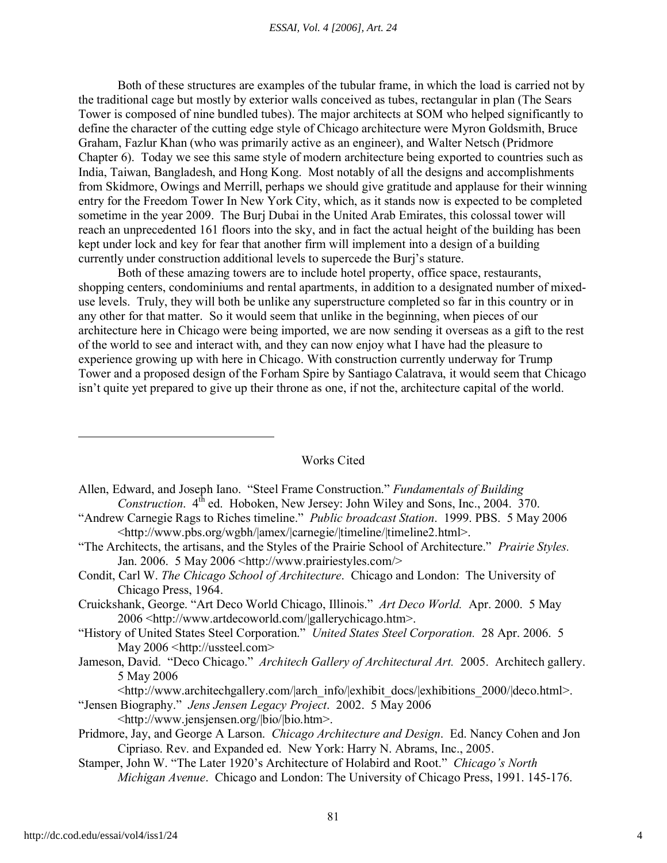Both of these structures are examples of the tubular frame, in which the load is carried not by the traditional cage but mostly by exterior walls conceived as tubes, rectangular in plan (The Sears Tower is composed of nine bundled tubes). The major architects at SOM who helped significantly to define the character of the cutting edge style of Chicago architecture were Myron Goldsmith, Bruce Graham, Fazlur Khan (who was primarily active as an engineer), and Walter Netsch (Pridmore Chapter 6). Today we see this same style of modern architecture being exported to countries such as India, Taiwan, Bangladesh, and Hong Kong. Most notably of all the designs and accomplishments from Skidmore, Owings and Merrill, perhaps we should give gratitude and applause for their winning entry for the Freedom Tower In New York City, which, as it stands now is expected to be completed sometime in the year 2009. The Burj Dubai in the United Arab Emirates, this colossal tower will reach an unprecedented 161 floors into the sky, and in fact the actual height of the building has been kept under lock and key for fear that another firm will implement into a design of a building currently under construction additional levels to supercede the Burj's stature.

Both of these amazing towers are to include hotel property, office space, restaurants, shopping centers, condominiums and rental apartments, in addition to a designated number of mixeduse levels. Truly, they will both be unlike any superstructure completed so far in this country or in any other for that matter. So it would seem that unlike in the beginning, when pieces of our architecture here in Chicago were being imported, we are now sending it overseas as a gift to the rest of the world to see and interact with, and they can now enjoy what I have had the pleasure to experience growing up with here in Chicago. With construction currently underway for Trump Tower and a proposed design of the Forham Spire by Santiago Calatrava, it would seem that Chicago isn't quite yet prepared to give up their throne as one, if not the, architecture capital of the world.

## Works Cited

- Allen, Edward, and Joseph Iano. "Steel Frame Construction." *Fundamentals of Building Construction.* 4<sup>th</sup> ed. Hoboken, New Jersey: John Wiley and Sons, Inc., 2004. 370.
- "Andrew Carnegie Rags to Riches timeline." *Public broadcast Station*. 1999. PBS. 5 May 2006 <http://www.pbs.org/wgbh/|amex/|carnegie/|timeline/|timeline2.html>.
- "The Architects, the artisans, and the Styles of the Prairie School of Architecture." *Prairie Styles.* Jan. 2006. 5 May 2006 <http://www.prairiestyles.com/>
- Condit, Carl W. *The Chicago School of Architecture*. Chicago and London: The University of Chicago Press, 1964.
- Cruickshank, George. "Art Deco World Chicago, Illinois." *Art Deco World.* Apr. 2000. 5 May 2006 <http://www.artdecoworld.com/|gallerychicago.htm>.
- "History of United States Steel Corporation." *United States Steel Corporation.* 28 Apr. 2006. 5 May 2006 <http://ussteel.com>
- Jameson, David. "Deco Chicago." *Architech Gallery of Architectural Art.* 2005. Architech gallery. 5 May 2006

<http://www.architechgallery.com/|arch\_info/|exhibit\_docs/|exhibitions\_2000/|deco.html>.

"Jensen Biography." *Jens Jensen Legacy Project*. 2002. 5 May 2006 <http://www.jensjensen.org/|bio/|bio.htm>.

- Pridmore, Jay, and George A Larson. *Chicago Architecture and Design*. Ed. Nancy Cohen and Jon Cipriaso. Rev. and Expanded ed. New York: Harry N. Abrams, Inc., 2005.
- Stamper, John W. "The Later 1920's Architecture of Holabird and Root." *Chicago's North Michigan Avenue*. Chicago and London: The University of Chicago Press, 1991. 145-176.